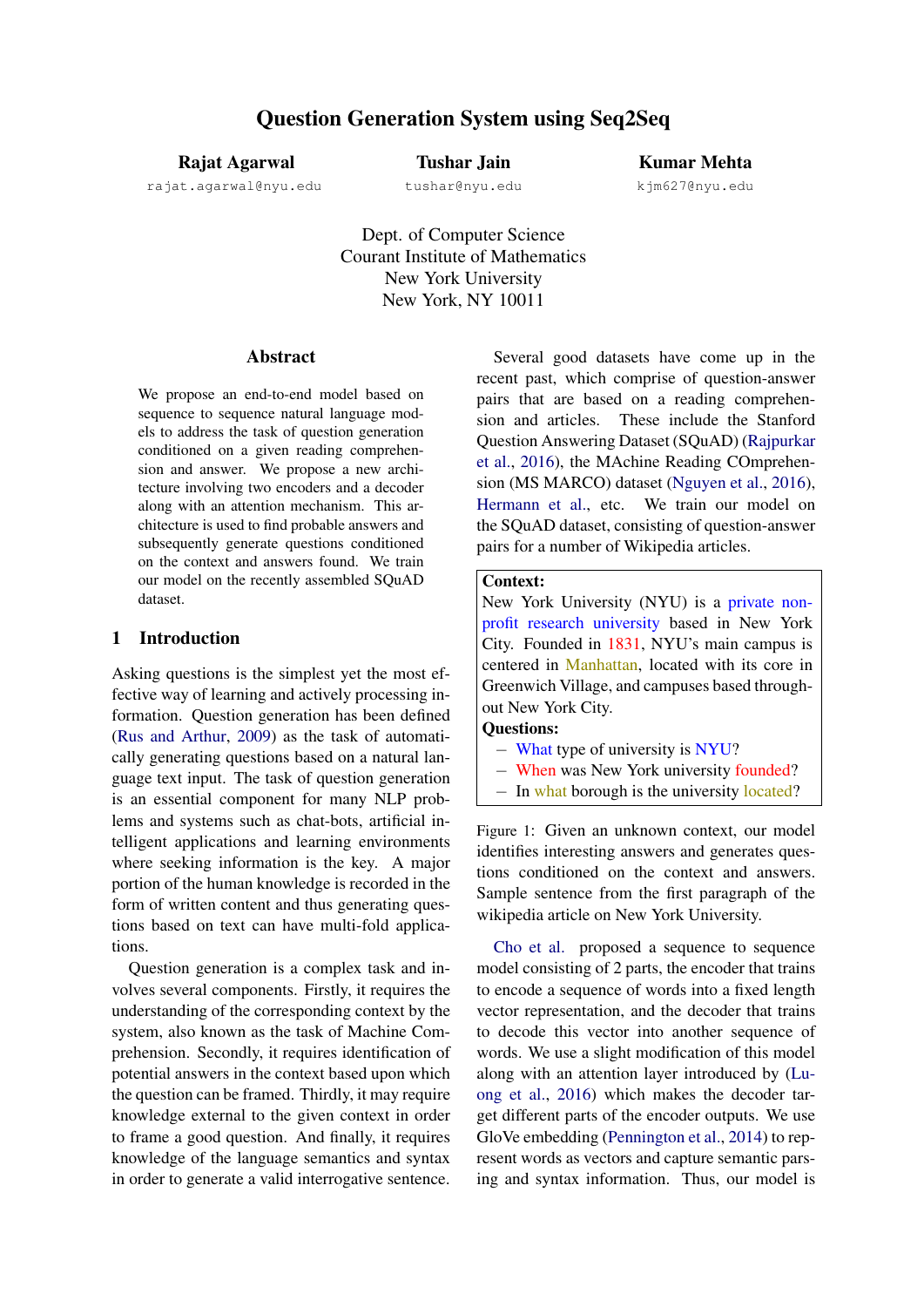## Rajat Agarwal

rajat.agarwal@nyu.edu

Tushar Jain

tushar@nyu.edu

Kumar Mehta

kjm627@nyu.edu

Dept. of Computer Science Courant Institute of Mathematics New York University New York, NY 10011

#### Abstract

We propose an end-to-end model based on sequence to sequence natural language models to address the task of question generation conditioned on a given reading comprehension and answer. We propose a new architecture involving two encoders and a decoder along with an attention mechanism. This architecture is used to find probable answers and subsequently generate questions conditioned on the context and answers found. We train our model on the recently assembled SQuAD dataset.

## 1 Introduction

Asking questions is the simplest yet the most effective way of learning and actively processing information. Question generation has been defined [\(Rus and Arthur,](#page-6-0) [2009\)](#page-6-0) as the task of automatically generating questions based on a natural language text input. The task of question generation is an essential component for many NLP problems and systems such as chat-bots, artificial intelligent applications and learning environments where seeking information is the key. A major portion of the human knowledge is recorded in the form of written content and thus generating questions based on text can have multi-fold applications.

Question generation is a complex task and involves several components. Firstly, it requires the understanding of the corresponding context by the system, also known as the task of Machine Comprehension. Secondly, it requires identification of potential answers in the context based upon which the question can be framed. Thirdly, it may require knowledge external to the given context in order to frame a good question. And finally, it requires knowledge of the language semantics and syntax in order to generate a valid interrogative sentence.

Several good datasets have come up in the recent past, which comprise of question-answer pairs that are based on a reading comprehension and articles. These include the Stanford Question Answering Dataset (SQuAD) [\(Rajpurkar](#page-6-1) [et al.,](#page-6-1) [2016\)](#page-6-1), the MAchine Reading COmprehension (MS MARCO) dataset [\(Nguyen et al.,](#page-6-2) [2016\)](#page-6-2), [Hermann et al.,](#page-6-3) etc. We train our model on the SQuAD dataset, consisting of question-answer pairs for a number of Wikipedia articles.

## Context:

New York University (NYU) is a private nonprofit research university based in New York City. Founded in 1831, NYU's main campus is centered in Manhattan, located with its core in Greenwich Village, and campuses based throughout New York City.

## Questions:

- − What type of university is NYU?
- − When was New York university founded?
- − In what borough is the university located?

Figure 1: Given an unknown context, our model identifies interesting answers and generates questions conditioned on the context and answers. Sample sentence from the first paragraph of the wikipedia article on New York University.

[Cho et al.](#page-6-4) proposed a sequence to sequence model consisting of 2 parts, the encoder that trains to encode a sequence of words into a fixed length vector representation, and the decoder that trains to decode this vector into another sequence of words. We use a slight modification of this model along with an attention layer introduced by [\(Lu](#page-6-5)[ong et al.,](#page-6-5) [2016\)](#page-6-5) which makes the decoder target different parts of the encoder outputs. We use GloVe embedding [\(Pennington et al.,](#page-6-6) [2014\)](#page-6-6) to represent words as vectors and capture semantic parsing and syntax information. Thus, our model is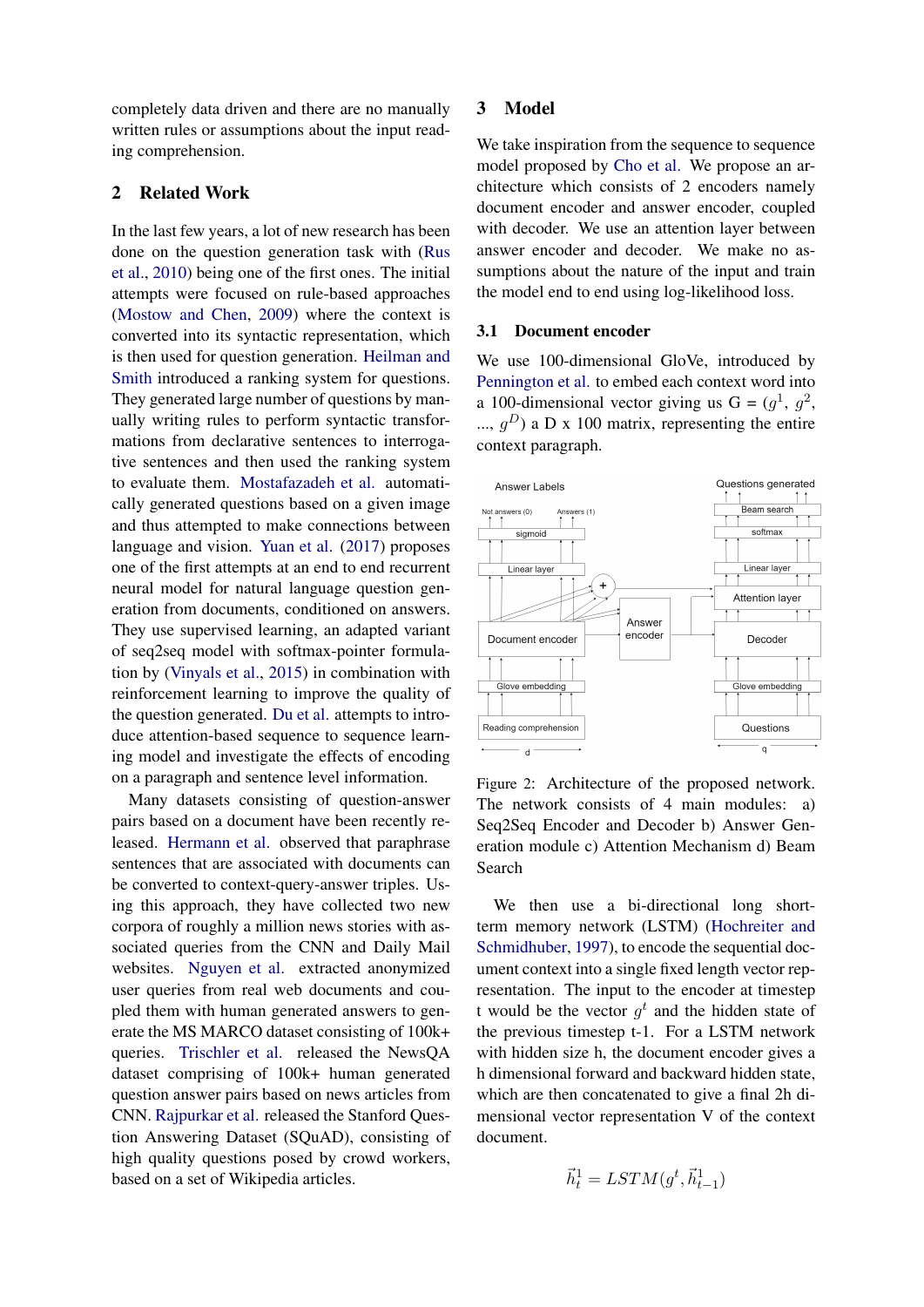completely data driven and there are no manually written rules or assumptions about the input reading comprehension.

## 2 Related Work

In the last few years, a lot of new research has been done on the question generation task with [\(Rus](#page-6-7) [et al.,](#page-6-7) [2010\)](#page-6-7) being one of the first ones. The initial attempts were focused on rule-based approaches [\(Mostow and Chen,](#page-6-8) [2009\)](#page-6-8) where the context is converted into its syntactic representation, which is then used for question generation. [Heilman and](#page-6-9) [Smith](#page-6-9) introduced a ranking system for questions. They generated large number of questions by manually writing rules to perform syntactic transformations from declarative sentences to interrogative sentences and then used the ranking system to evaluate them. [Mostafazadeh et al.](#page-6-10) automatically generated questions based on a given image and thus attempted to make connections between language and vision. [Yuan et al.](#page-6-11) [\(2017\)](#page-6-11) proposes one of the first attempts at an end to end recurrent neural model for natural language question generation from documents, conditioned on answers. They use supervised learning, an adapted variant of seq2seq model with softmax-pointer formulation by [\(Vinyals et al.,](#page-6-12) [2015\)](#page-6-12) in combination with reinforcement learning to improve the quality of the question generated. [Du et al.](#page-6-13) attempts to introduce attention-based sequence to sequence learning model and investigate the effects of encoding on a paragraph and sentence level information.

Many datasets consisting of question-answer pairs based on a document have been recently released. [Hermann et al.](#page-6-3) observed that paraphrase sentences that are associated with documents can be converted to context-query-answer triples. Using this approach, they have collected two new corpora of roughly a million news stories with associated queries from the CNN and Daily Mail websites. [Nguyen et al.](#page-6-2) extracted anonymized user queries from real web documents and coupled them with human generated answers to generate the MS MARCO dataset consisting of 100k+ queries. [Trischler et al.](#page-6-14) released the NewsQA dataset comprising of 100k+ human generated question answer pairs based on news articles from CNN. [Rajpurkar et al.](#page-6-1) released the Stanford Question Answering Dataset (SQuAD), consisting of high quality questions posed by crowd workers, based on a set of Wikipedia articles.

#### 3 Model

We take inspiration from the sequence to sequence model proposed by [Cho et al.](#page-6-4) We propose an architecture which consists of 2 encoders namely document encoder and answer encoder, coupled with decoder. We use an attention layer between answer encoder and decoder. We make no assumptions about the nature of the input and train the model end to end using log-likelihood loss.

### 3.1 Document encoder

We use 100-dimensional GloVe, introduced by [Pennington et al.](#page-6-6) to embed each context word into a 100-dimensional vector giving us  $G = (g^1, g^2, g^2)$ ...,  $g^D$ ) a D x 100 matrix, representing the entire context paragraph.



Figure 2: Architecture of the proposed network. The network consists of 4 main modules: a) Seq2Seq Encoder and Decoder b) Answer Generation module c) Attention Mechanism d) Beam Search

We then use a bi-directional long shortterm memory network (LSTM) [\(Hochreiter and](#page-6-15) [Schmidhuber,](#page-6-15) [1997\)](#page-6-15), to encode the sequential document context into a single fixed length vector representation. The input to the encoder at timestep t would be the vector  $g^t$  and the hidden state of the previous timestep t-1. For a LSTM network with hidden size h, the document encoder gives a h dimensional forward and backward hidden state, which are then concatenated to give a final 2h dimensional vector representation V of the context document.

$$
\vec{h}_t^1 = LSTM(g^t, \vec{h}_{t-1}^1)
$$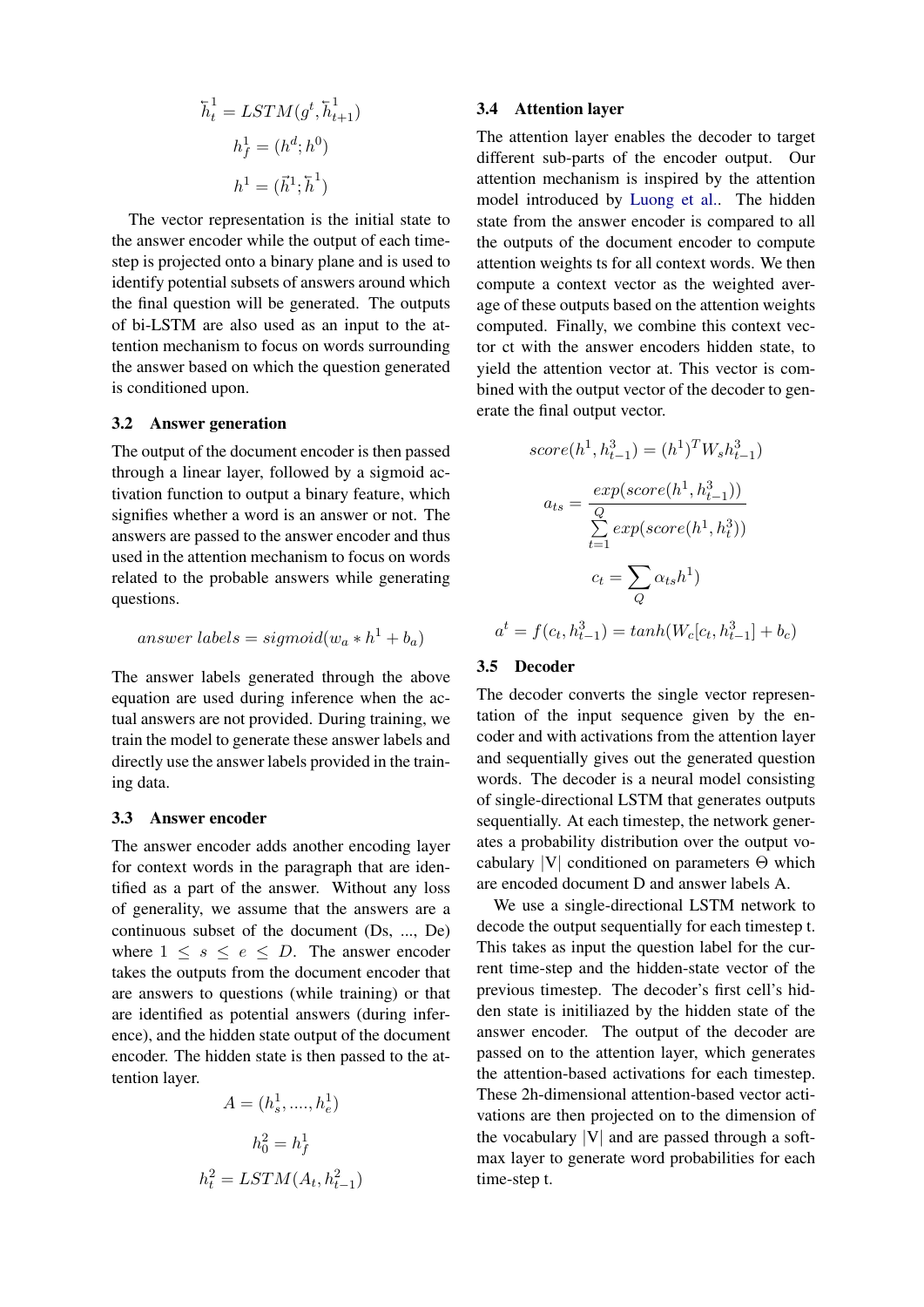$$
\overline{h}_t^1 = LSTM(g^t, \overline{h}_{t+1}^1)
$$

$$
h_f^1 = (h^d; h^0)
$$

$$
h^1 = (\overline{h}^1; \overline{h}^1)
$$

The vector representation is the initial state to the answer encoder while the output of each timestep is projected onto a binary plane and is used to identify potential subsets of answers around which the final question will be generated. The outputs of bi-LSTM are also used as an input to the attention mechanism to focus on words surrounding the answer based on which the question generated is conditioned upon.

#### 3.2 Answer generation

The output of the document encoder is then passed through a linear layer, followed by a sigmoid activation function to output a binary feature, which signifies whether a word is an answer or not. The answers are passed to the answer encoder and thus used in the attention mechanism to focus on words related to the probable answers while generating questions.

answer labels = sigmoid(w<sup>a</sup> ∗ h <sup>1</sup> + ba)

The answer labels generated through the above equation are used during inference when the actual answers are not provided. During training, we train the model to generate these answer labels and directly use the answer labels provided in the training data.

#### 3.3 Answer encoder

The answer encoder adds another encoding layer for context words in the paragraph that are identified as a part of the answer. Without any loss of generality, we assume that the answers are a continuous subset of the document (Ds, ..., De) where  $1 \leq s \leq e \leq D$ . The answer encoder takes the outputs from the document encoder that are answers to questions (while training) or that are identified as potential answers (during inference), and the hidden state output of the document encoder. The hidden state is then passed to the attention layer.

$$
A = (h_s^1, \dots, h_e^1)
$$
  

$$
h_0^2 = h_f^1
$$
  

$$
h_t^2 = LSTM(A_t, h_{t-1}^2)
$$

#### 3.4 Attention layer

The attention layer enables the decoder to target different sub-parts of the encoder output. Our attention mechanism is inspired by the attention model introduced by [Luong et al..](#page-6-16) The hidden state from the answer encoder is compared to all the outputs of the document encoder to compute attention weights ts for all context words. We then compute a context vector as the weighted average of these outputs based on the attention weights computed. Finally, we combine this context vector ct with the answer encoders hidden state, to yield the attention vector at. This vector is combined with the output vector of the decoder to generate the final output vector.

$$
score(h^1, h_{t-1}^3) = (h^1)^T W_s h_{t-1}^3)
$$

$$
a_{ts} = \frac{exp(score(h^1, h_{t-1}^3))}{\sum_{t=1}^Q exp(score(h^1, h_t^3))}
$$

$$
c_t = \sum_Q \alpha_{ts} h^1)
$$

$$
a^t = f(c_t, h_{t-1}^3) = tanh(W_c[c_t, h_{t-1}^3] + b_c)
$$

#### 3.5 Decoder

The decoder converts the single vector representation of the input sequence given by the encoder and with activations from the attention layer and sequentially gives out the generated question words. The decoder is a neural model consisting of single-directional LSTM that generates outputs sequentially. At each timestep, the network generates a probability distribution over the output vocabulary  $|V|$  conditioned on parameters  $\Theta$  which are encoded document D and answer labels A.

We use a single-directional LSTM network to decode the output sequentially for each timestep t. This takes as input the question label for the current time-step and the hidden-state vector of the previous timestep. The decoder's first cell's hidden state is initiliazed by the hidden state of the answer encoder. The output of the decoder are passed on to the attention layer, which generates the attention-based activations for each timestep. These 2h-dimensional attention-based vector activations are then projected on to the dimension of the vocabulary  $|V|$  and are passed through a softmax layer to generate word probabilities for each time-step t.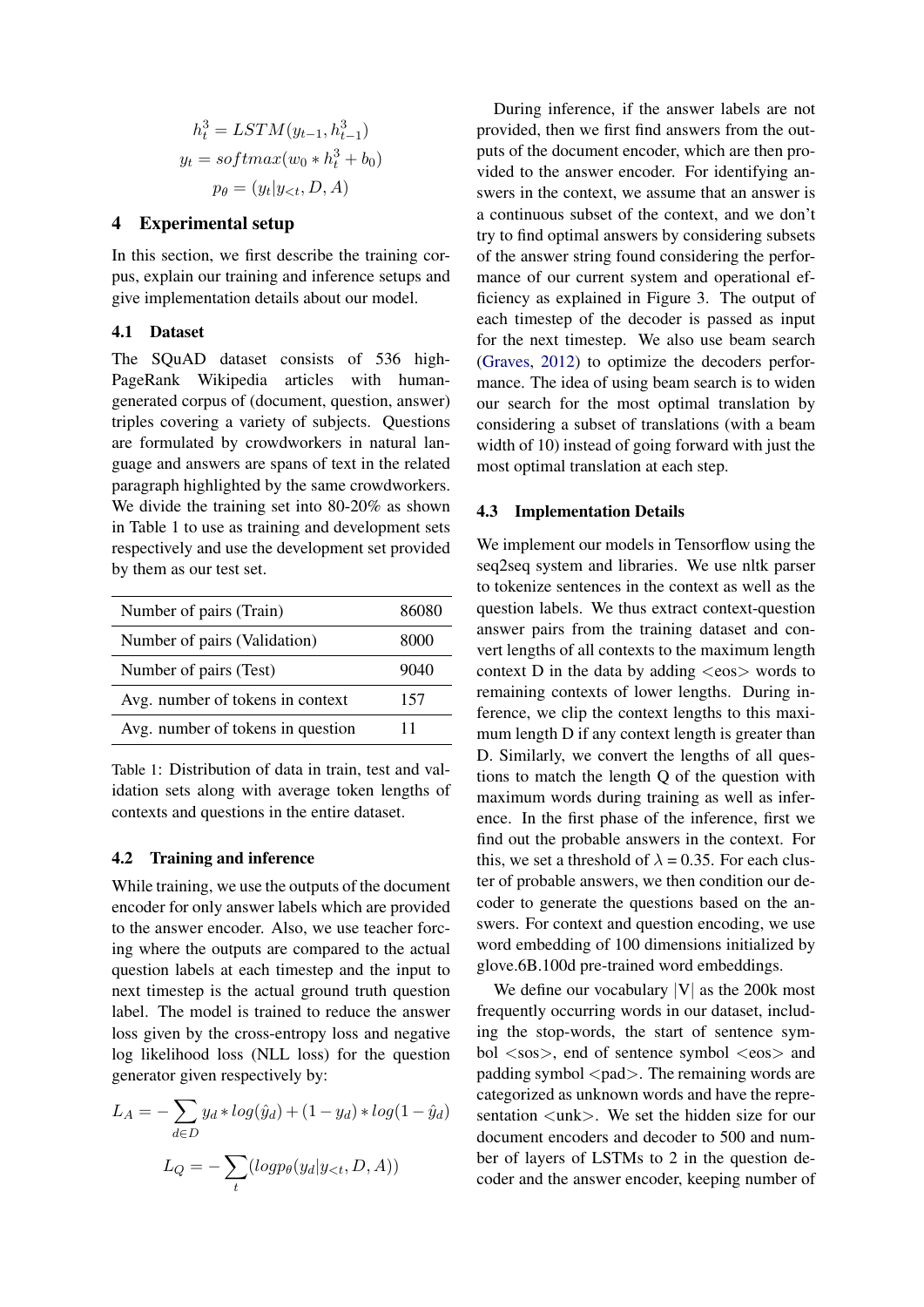$$
h_t^3 = LSTM(y_{t-1}, h_{t-1}^3)
$$
  

$$
y_t = softmax(w_0 * h_t^3 + b_0)
$$
  

$$
p_\theta = (y_t | y_{<}; D, A)
$$

## 4 Experimental setup

In this section, we first describe the training corpus, explain our training and inference setups and give implementation details about our model.

## 4.1 Dataset

The SQuAD dataset consists of 536 high-PageRank Wikipedia articles with humangenerated corpus of (document, question, answer) triples covering a variety of subjects. Questions are formulated by crowdworkers in natural language and answers are spans of text in the related paragraph highlighted by the same crowdworkers. We divide the training set into 80-20% as shown in Table 1 to use as training and development sets respectively and use the development set provided by them as our test set.

| Number of pairs (Train)           | 86080 |
|-----------------------------------|-------|
| Number of pairs (Validation)      | 8000  |
| Number of pairs (Test)            | 9040  |
| Avg. number of tokens in context  | 157   |
| Avg. number of tokens in question | 11    |

Table 1: Distribution of data in train, test and validation sets along with average token lengths of contexts and questions in the entire dataset.

### 4.2 Training and inference

While training, we use the outputs of the document encoder for only answer labels which are provided to the answer encoder. Also, we use teacher forcing where the outputs are compared to the actual question labels at each timestep and the input to next timestep is the actual ground truth question label. The model is trained to reduce the answer loss given by the cross-entropy loss and negative log likelihood loss (NLL loss) for the question generator given respectively by:

$$
L_A = -\sum_{d \in D} y_d * log(\hat{y}_d) + (1 - y_d) * log(1 - \hat{y}_d)
$$

$$
L_Q = -\sum_t (log p_\theta(y_d | y_{<}; D, A))
$$

During inference, if the answer labels are not provided, then we first find answers from the outputs of the document encoder, which are then provided to the answer encoder. For identifying answers in the context, we assume that an answer is a continuous subset of the context, and we don't try to find optimal answers by considering subsets of the answer string found considering the performance of our current system and operational efficiency as explained in Figure 3. The output of each timestep of the decoder is passed as input for the next timestep. We also use beam search [\(Graves,](#page-6-17) [2012\)](#page-6-17) to optimize the decoders performance. The idea of using beam search is to widen our search for the most optimal translation by considering a subset of translations (with a beam width of 10) instead of going forward with just the most optimal translation at each step.

### 4.3 Implementation Details

We implement our models in Tensorflow using the seq2seq system and libraries. We use nltk parser to tokenize sentences in the context as well as the question labels. We thus extract context-question answer pairs from the training dataset and convert lengths of all contexts to the maximum length context D in the data by adding  $\langle e \cos \rangle$  words to remaining contexts of lower lengths. During inference, we clip the context lengths to this maximum length D if any context length is greater than D. Similarly, we convert the lengths of all questions to match the length Q of the question with maximum words during training as well as inference. In the first phase of the inference, first we find out the probable answers in the context. For this, we set a threshold of  $\lambda = 0.35$ . For each cluster of probable answers, we then condition our decoder to generate the questions based on the answers. For context and question encoding, we use word embedding of 100 dimensions initialized by glove.6B.100d pre-trained word embeddings.

We define our vocabulary  $|V|$  as the 200k most frequently occurring words in our dataset, including the stop-words, the start of sentence symbol  $\langle$ sos $\rangle$ , end of sentence symbol  $\langle$ eos $\rangle$  and padding symbol <pad>. The remaining words are categorized as unknown words and have the representation  $\langle$ unk $\rangle$ . We set the hidden size for our document encoders and decoder to 500 and number of layers of LSTMs to 2 in the question decoder and the answer encoder, keeping number of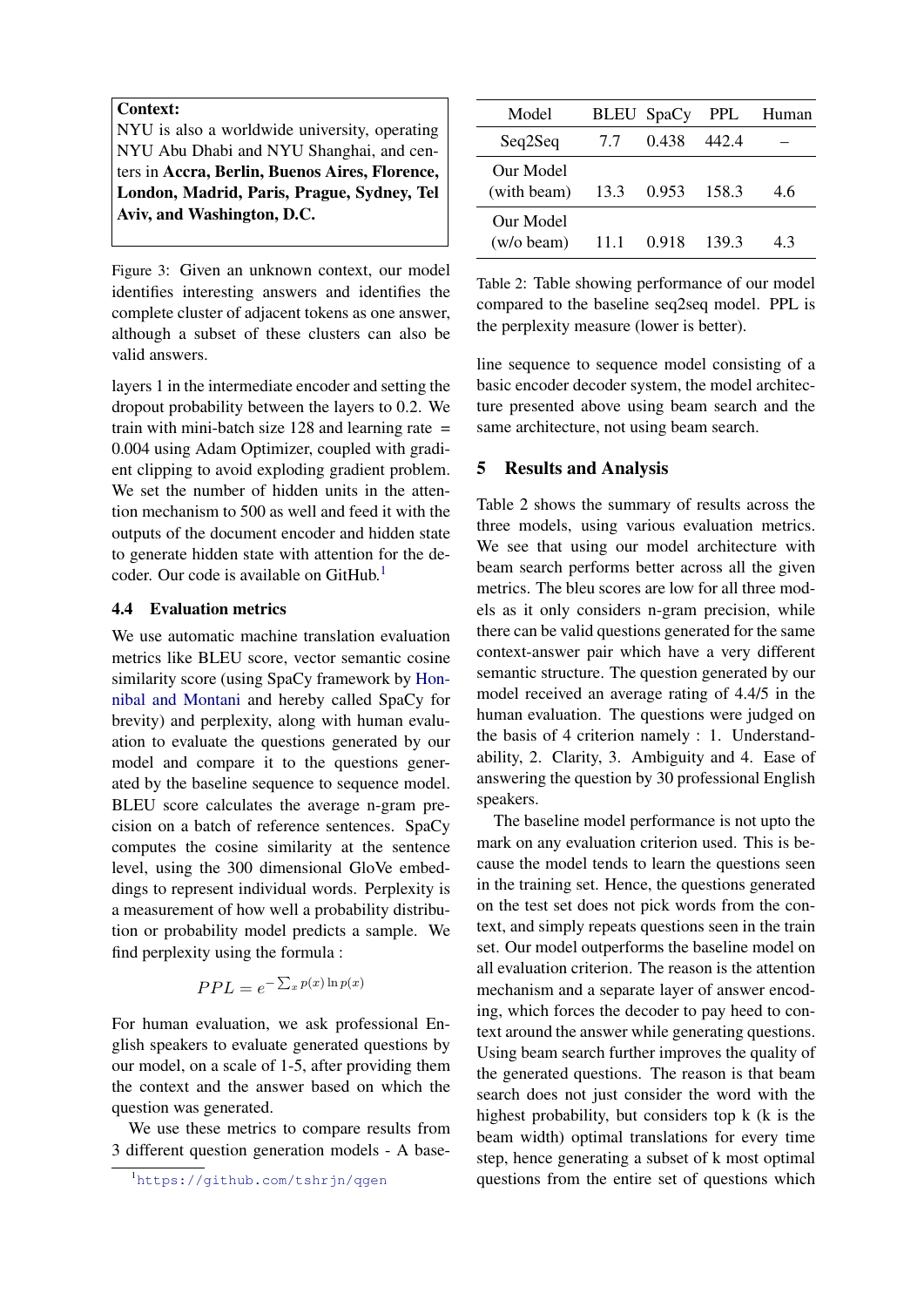#### Context:

NYU is also a worldwide university, operating NYU Abu Dhabi and NYU Shanghai, and centers in Accra, Berlin, Buenos Aires, Florence, London, Madrid, Paris, Prague, Sydney, Tel Aviv, and Washington, D.C.

Figure 3: Given an unknown context, our model identifies interesting answers and identifies the complete cluster of adjacent tokens as one answer, although a subset of these clusters can also be valid answers.

layers 1 in the intermediate encoder and setting the dropout probability between the layers to 0.2. We train with mini-batch size  $128$  and learning rate  $=$ 0.004 using Adam Optimizer, coupled with gradient clipping to avoid exploding gradient problem. We set the number of hidden units in the attention mechanism to 500 as well and feed it with the outputs of the document encoder and hidden state to generate hidden state with attention for the decoder. Our code is available on  $G$ itHub.<sup>[1](#page-4-0)</sup>

### 4.4 Evaluation metrics

We use automatic machine translation evaluation metrics like BLEU score, vector semantic cosine similarity score (using SpaCy framework by [Hon](#page-6-18)[nibal and Montani](#page-6-18) and hereby called SpaCy for brevity) and perplexity, along with human evaluation to evaluate the questions generated by our model and compare it to the questions generated by the baseline sequence to sequence model. BLEU score calculates the average n-gram precision on a batch of reference sentences. SpaCy computes the cosine similarity at the sentence level, using the 300 dimensional GloVe embeddings to represent individual words. Perplexity is a measurement of how well a probability distribution or probability model predicts a sample. We find perplexity using the formula :

$$
PPL = e^{-\sum_x p(x) \ln p(x)}
$$

For human evaluation, we ask professional English speakers to evaluate generated questions by our model, on a scale of 1-5, after providing them the context and the answer based on which the question was generated.

We use these metrics to compare results from 3 different question generation models - A base-

| Model                     |      | <b>BLEU</b> SpaCy | <b>PPL</b> | Human |
|---------------------------|------|-------------------|------------|-------|
| Seq2Seq                   | 7.7  | 0.438             | 442.4      |       |
| Our Model<br>(with beam)  | 13.3 | 0.953 158.3       |            | 46    |
| Our Model<br>$(w/o$ beam) | 11 1 | 0.918             | 139.3      | 43    |

Table 2: Table showing performance of our model compared to the baseline seq2seq model. PPL is the perplexity measure (lower is better).

line sequence to sequence model consisting of a basic encoder decoder system, the model architecture presented above using beam search and the same architecture, not using beam search.

### 5 Results and Analysis

 $\overline{a}$ 

Table 2 shows the summary of results across the three models, using various evaluation metrics. We see that using our model architecture with beam search performs better across all the given metrics. The bleu scores are low for all three models as it only considers n-gram precision, while there can be valid questions generated for the same context-answer pair which have a very different semantic structure. The question generated by our model received an average rating of 4.4/5 in the human evaluation. The questions were judged on the basis of 4 criterion namely : 1. Understandability, 2. Clarity, 3. Ambiguity and 4. Ease of answering the question by 30 professional English speakers.

The baseline model performance is not upto the mark on any evaluation criterion used. This is because the model tends to learn the questions seen in the training set. Hence, the questions generated on the test set does not pick words from the context, and simply repeats questions seen in the train set. Our model outperforms the baseline model on all evaluation criterion. The reason is the attention mechanism and a separate layer of answer encoding, which forces the decoder to pay heed to context around the answer while generating questions. Using beam search further improves the quality of the generated questions. The reason is that beam search does not just consider the word with the highest probability, but considers top k (k is the beam width) optimal translations for every time step, hence generating a subset of k most optimal questions from the entire set of questions which

<span id="page-4-0"></span><sup>1</sup><https://github.com/tshrjn/qgen>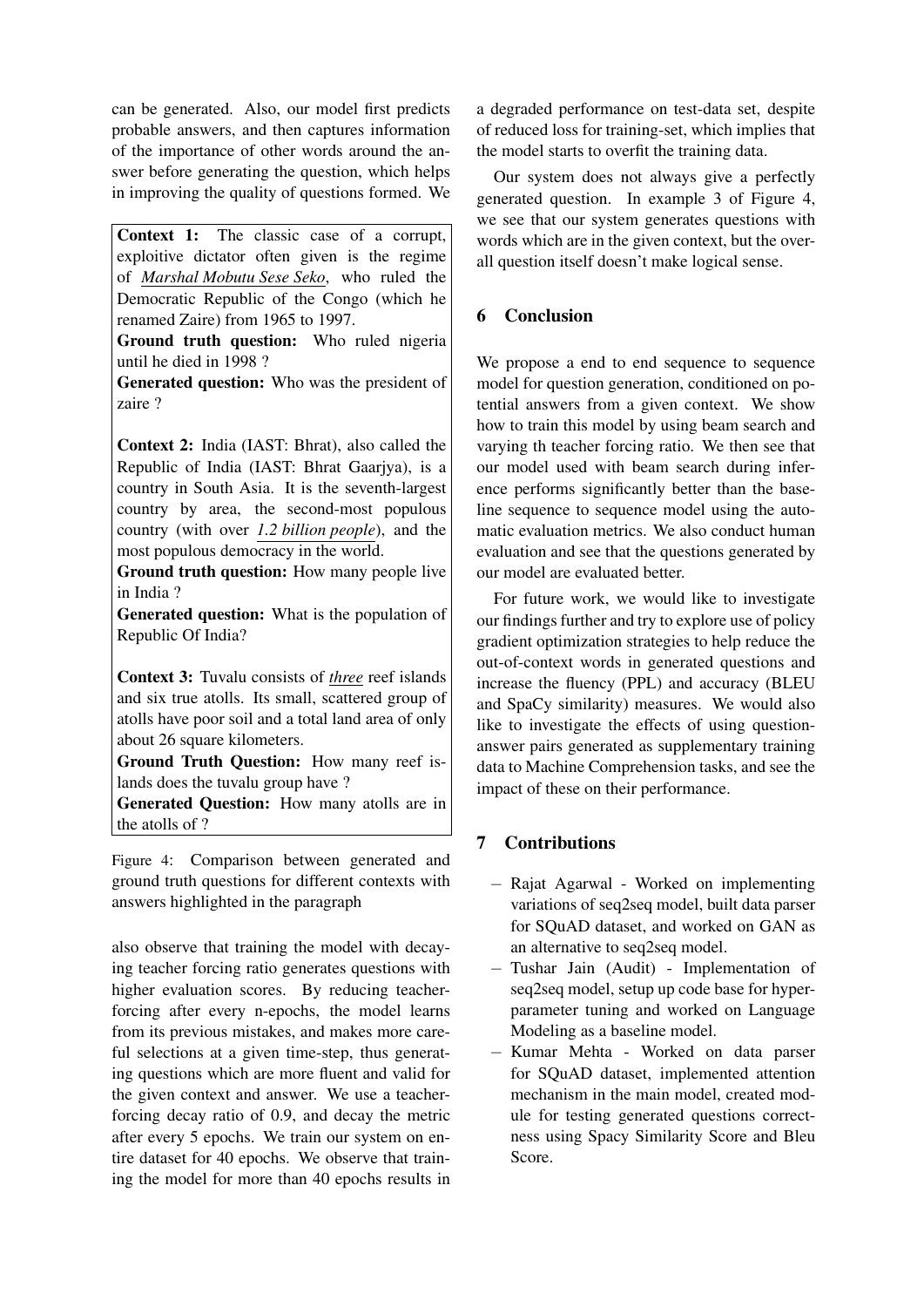can be generated. Also, our model first predicts probable answers, and then captures information of the importance of other words around the answer before generating the question, which helps in improving the quality of questions formed. We

Context 1: The classic case of a corrupt, exploitive dictator often given is the regime of *Marshal Mobutu Sese Seko*, who ruled the Democratic Republic of the Congo (which he renamed Zaire) from 1965 to 1997.

Ground truth question: Who ruled nigeria until he died in 1998 ?

Generated question: Who was the president of zaire ?

Context 2: India (IAST: Bhrat), also called the Republic of India (IAST: Bhrat Gaarjya), is a country in South Asia. It is the seventh-largest country by area, the second-most populous country (with over *1.2 billion people*), and the most populous democracy in the world.

Ground truth question: How many people live in India ?

Generated question: What is the population of Republic Of India?

Context 3: Tuvalu consists of *three* reef islands and six true atolls. Its small, scattered group of atolls have poor soil and a total land area of only about 26 square kilometers.

Ground Truth Question: How many reef islands does the tuvalu group have ?

Generated Question: How many atolls are in the atolls of ?

Figure 4: Comparison between generated and ground truth questions for different contexts with answers highlighted in the paragraph

also observe that training the model with decaying teacher forcing ratio generates questions with higher evaluation scores. By reducing teacherforcing after every n-epochs, the model learns from its previous mistakes, and makes more careful selections at a given time-step, thus generating questions which are more fluent and valid for the given context and answer. We use a teacherforcing decay ratio of 0.9, and decay the metric after every 5 epochs. We train our system on entire dataset for 40 epochs. We observe that training the model for more than 40 epochs results in

a degraded performance on test-data set, despite of reduced loss for training-set, which implies that the model starts to overfit the training data.

Our system does not always give a perfectly generated question. In example 3 of Figure 4, we see that our system generates questions with words which are in the given context, but the overall question itself doesn't make logical sense.

# 6 Conclusion

We propose a end to end sequence to sequence model for question generation, conditioned on potential answers from a given context. We show how to train this model by using beam search and varying th teacher forcing ratio. We then see that our model used with beam search during inference performs significantly better than the baseline sequence to sequence model using the automatic evaluation metrics. We also conduct human evaluation and see that the questions generated by our model are evaluated better.

For future work, we would like to investigate our findings further and try to explore use of policy gradient optimization strategies to help reduce the out-of-context words in generated questions and increase the fluency (PPL) and accuracy (BLEU and SpaCy similarity) measures. We would also like to investigate the effects of using questionanswer pairs generated as supplementary training data to Machine Comprehension tasks, and see the impact of these on their performance.

# 7 Contributions

- − Rajat Agarwal Worked on implementing variations of seq2seq model, built data parser for SQuAD dataset, and worked on GAN as an alternative to seq2seq model.
- − Tushar Jain (Audit) Implementation of seq2seq model, setup up code base for hyperparameter tuning and worked on Language Modeling as a baseline model.
- − Kumar Mehta Worked on data parser for SQuAD dataset, implemented attention mechanism in the main model, created module for testing generated questions correctness using Spacy Similarity Score and Bleu Score.